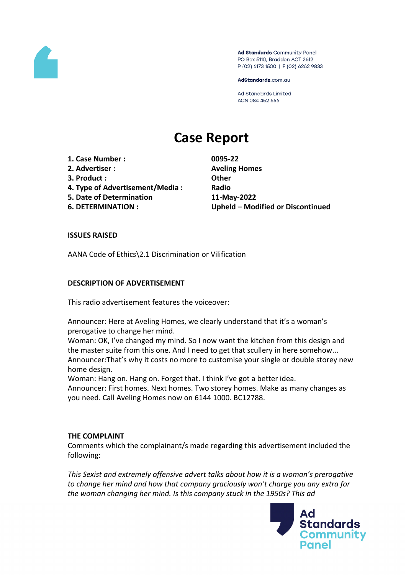

Ad Standards Community Panel PO Box 5110, Braddon ACT 2612 P (02) 6173 1500 | F (02) 6262 9833

AdStandards.com.au

**Ad Standards Limited** ACN 084 452 666

# **Case Report**

**1. Case Number : 0095-22**

- **2. Advertiser : Aveling Homes**
- **3. Product : Other**
- **4. Type of Advertisement/Media : Radio**
- **5. Date of Determination 11-May-2022**
- 

**6. DETERMINATION : Upheld – Modified or Discontinued**

## **ISSUES RAISED**

AANA Code of Ethics\2.1 Discrimination or Vilification

## **DESCRIPTION OF ADVERTISEMENT**

This radio advertisement features the voiceover:

Announcer: Here at Aveling Homes, we clearly understand that it's a woman's prerogative to change her mind.

Woman: OK, I've changed my mind. So I now want the kitchen from this design and the master suite from this one. And I need to get that scullery in here somehow... Announcer:That's why it costs no more to customise your single or double storey new home design.

Woman: Hang on. Hang on. Forget that. I think I've got a better idea.

Announcer: First homes. Next homes. Two storey homes. Make as many changes as you need. Call Aveling Homes now on 6144 1000. BC12788.

#### **THE COMPLAINT**

Comments which the complainant/s made regarding this advertisement included the following:

*This Sexist and extremely offensive advert talks about how it is a woman's prerogative to change her mind and how that company graciously won't charge you any extra for the woman changing her mind. Is this company stuck in the 1950s? This ad*

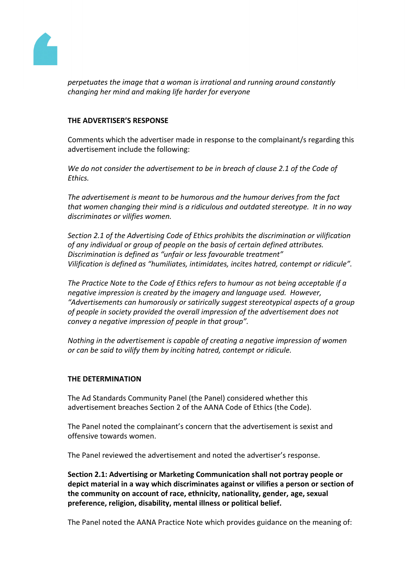

*perpetuates the image that a woman is irrational and running around constantly changing her mind and making life harder for everyone*

## **THE ADVERTISER'S RESPONSE**

Comments which the advertiser made in response to the complainant/s regarding this advertisement include the following:

*We do not consider the advertisement to be in breach of clause 2.1 of the Code of Ethics.*

*The advertisement is meant to be humorous and the humour derives from the fact that women changing their mind is a ridiculous and outdated stereotype. It in no way discriminates or vilifies women.*

*Section 2.1 of the Advertising Code of Ethics prohibits the discrimination or vilification of any individual or group of people on the basis of certain defined attributes. Discrimination is defined as "unfair or less favourable treatment" Vilification is defined as "humiliates, intimidates, incites hatred, contempt or ridicule".*

*The Practice Note to the Code of Ethics refers to humour as not being acceptable if a negative impression is created by the imagery and language used. However, "Advertisements can humorously or satirically suggest stereotypical aspects of a group of people in society provided the overall impression of the advertisement does not convey a negative impression of people in that group".*

*Nothing in the advertisement is capable of creating a negative impression of women or can be said to vilify them by inciting hatred, contempt or ridicule.*

#### **THE DETERMINATION**

The Ad Standards Community Panel (the Panel) considered whether this advertisement breaches Section 2 of the AANA Code of Ethics (the Code).

The Panel noted the complainant's concern that the advertisement is sexist and offensive towards women.

The Panel reviewed the advertisement and noted the advertiser's response.

**Section 2.1: Advertising or Marketing Communication shall not portray people or depict material in a way which discriminates against or vilifies a person or section of the community on account of race, ethnicity, nationality, gender, age, sexual preference, religion, disability, mental illness or political belief.**

The Panel noted the AANA Practice Note which provides guidance on the meaning of: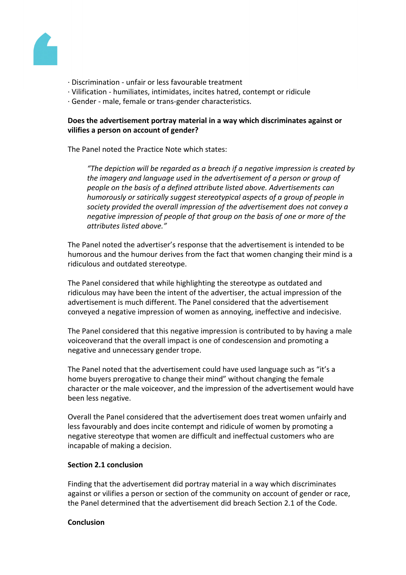

- · Discrimination unfair or less favourable treatment
- · Vilification humiliates, intimidates, incites hatred, contempt or ridicule
- · Gender male, female or trans-gender characteristics.

# **Does the advertisement portray material in a way which discriminates against or vilifies a person on account of gender?**

The Panel noted the Practice Note which states:

*"The depiction will be regarded as a breach if a negative impression is created by the imagery and language used in the advertisement of a person or group of people on the basis of a defined attribute listed above. Advertisements can humorously or satirically suggest stereotypical aspects of a group of people in society provided the overall impression of the advertisement does not convey a negative impression of people of that group on the basis of one or more of the attributes listed above."*

The Panel noted the advertiser's response that the advertisement is intended to be humorous and the humour derives from the fact that women changing their mind is a ridiculous and outdated stereotype.

The Panel considered that while highlighting the stereotype as outdated and ridiculous may have been the intent of the advertiser, the actual impression of the advertisement is much different. The Panel considered that the advertisement conveyed a negative impression of women as annoying, ineffective and indecisive.

The Panel considered that this negative impression is contributed to by having a male voiceoverand that the overall impact is one of condescension and promoting a negative and unnecessary gender trope.

The Panel noted that the advertisement could have used language such as "it's a home buyers prerogative to change their mind" without changing the female character or the male voiceover, and the impression of the advertisement would have been less negative.

Overall the Panel considered that the advertisement does treat women unfairly and less favourably and does incite contempt and ridicule of women by promoting a negative stereotype that women are difficult and ineffectual customers who are incapable of making a decision.

#### **Section 2.1 conclusion**

Finding that the advertisement did portray material in a way which discriminates against or vilifies a person or section of the community on account of gender or race, the Panel determined that the advertisement did breach Section 2.1 of the Code.

#### **Conclusion**